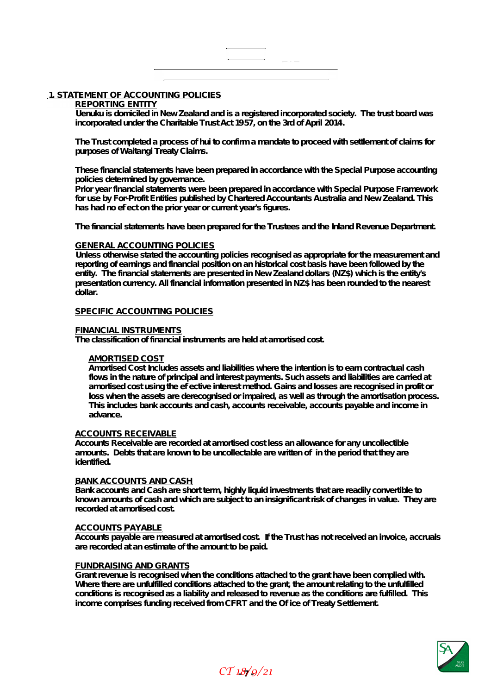# $\overline{a}$   $\overline{a}$   $\overline{a}$   $\overline{a}$   $\overline{a}$   $\overline{a}$   $\overline{a}$   $\overline{a}$   $\overline{a}$   $\overline{a}$   $\overline{a}$   $\overline{a}$   $\overline{a}$   $\overline{a}$   $\overline{a}$   $\overline{a}$   $\overline{a}$   $\overline{a}$   $\overline{a}$   $\overline{a}$   $\overline{a}$   $\overline{a}$   $\overline{a}$   $\overline{a}$   $\overline{$

# **1. STATEMENT OF ACCOUNTING POLICIES**

#### **REPORTING ENTITY**

**Uenuku is domiciled in New Zealand and is a registered incorporated society. The trust board was incorporated under the Charitable Trust Act 1957, on the 3rd of April 2014.** 

**The Trust completed a process of hui to confirm a mandate to proceed with settlement of claims for purposes of Waitangi Treaty Claims.** 

**These financial statements have been prepared in accordance with the Special Purpose accounting policies determined by governance.** 

**Prior year financial statements were been prepared in accordance with Special Purpose Framework for use by For-Profit Entities published by Chartered Accountants Australia and New Zealand. This**  has had no effect on the prior year or current year's figures.

**The financial statements have been prepared for the Trustees and the Inland Revenue Department.** 

# **GENERAL ACCOUNTING POLICIES**

**Unless otherwise stated the accounting policies recognised as appropriate for the measurement and reporting of earnings and financial position on an historical cost basis have been followed by the entity. The financial statements are presented in New Zealand dollars (NZ\$) which is the entity's presentation currency. All financial information presented in NZ\$ has been rounded to the nearest dollar.** 

# **SPECIFIC ACCOUNTING POLICIES**

#### **FINANCIAL INSTRUMENTS**

**The classification of financial instruments are held at amortised cost.** 

# **AMORTISED COST**

**Amortised Cost Includes assets and liabilities where the intention is to earn contractual cash flows in the nature of principal and interest payments. Such assets and liabilities are carried at amortised cost using the effective interest method. Gains and losses are recognised in profit or loss when the assets are derecognised or impaired, as well as through the amortisation process. This includes bank accounts and cash, accounts receivable, accounts payable and income in advance.** 

#### **ACCOUNTS RECEIVABLE**

**Accounts Receivable are recorded at amortised cost less an allowance for any uncollectible**  amounts. Debts that are known to be uncollectable are written of in the period that they are **identified.** 

#### **BANK ACCOUNTS AND CASH**

**Bank accounts and Cash are short term, highly liquid investments that are readily convertible to known amounts of cash and which are subject to an insignificant risk of changes in value. They are recorded at amortised cost.** 

#### **ACCOUNTS PAYABLE**

**Accounts payable are measured at amortised cost. If the Trust has not received an invoice, accruals are recorded at an estimate of the amount to be paid.** 

#### **FUNDRAISING AND GRANTS**

**Grant revenue is recognised when the conditions attached to the grant have been complied with.**  Where there are unfulfilled conditions attached to the grant, the amount relating to the unfulfilled **conditions is recognised as a liability and released to revenue as the conditions are fulfilled. This income comprises funding received from CFRT and the Office of Treaty Settlement.** 

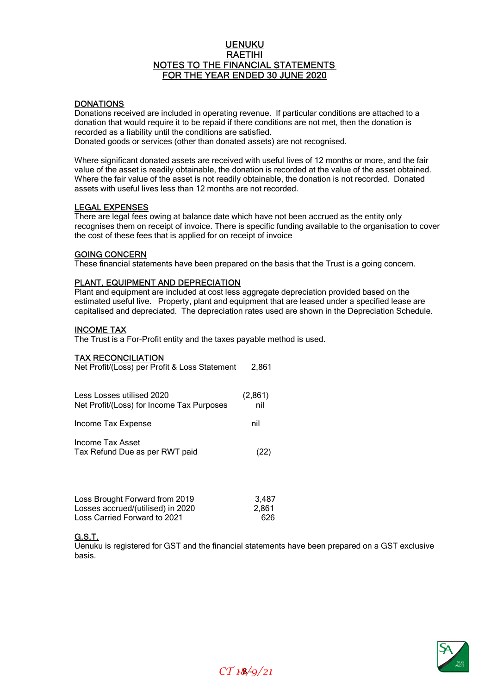# UENUKU RAETIHI NOTES TO THE FINANCIAL STATEMENTS FOR THE YEAR ENDED 30 JUNE 2020

# **DONATIONS**

Donations received are included in operating revenue. If particular conditions are attached to a donation that would require it to be repaid if there conditions are not met, then the donation is recorded as a liability until the conditions are satisfied.

Donated goods or services (other than donated assets) are not recognised.

Where significant donated assets are received with useful lives of 12 months or more, and the fair value of the asset is readily obtainable, the donation is recorded at the value of the asset obtained. Where the fair value of the asset is not readily obtainable, the donation is not recorded. Donated assets with useful lives less than 12 months are not recorded.

# LEGAL EXPENSES

There are legal fees owing at balance date which have not been accrued as the entity only recognises them on receipt of invoice. There is specific funding available to the organisation to cover the cost of these fees that is applied for on receipt of invoice

#### GOING CONCERN

These financial statements have been prepared on the basis that the Trust is a going concern.

# PLANT, EQUIPMENT AND DEPRECIATION

Plant and equipment are included at cost less aggregate depreciation provided based on the estimated useful live. Property, plant and equipment that are leased under a specified lease are capitalised and depreciated. The depreciation rates used are shown in the Depreciation Schedule.

# INCOME TAX

The Trust is a For-Profit entity and the taxes payable method is used.

# TAX RECONCILIATION

| Net Profit/(Loss) per Profit & Loss Statement                          | 2,861          |
|------------------------------------------------------------------------|----------------|
| Less Losses utilised 2020<br>Net Profit/(Loss) for Income Tax Purposes | (2,861)<br>nil |
| Income Tax Expense                                                     | nil            |
| Income Tax Asset<br>Tax Refund Due as per RWT paid                     | (22)           |
| Loss Brought Forward from 2019<br>Losses accrued/(utilised) in 2020    | 3,487<br>2,861 |

Loss Carried Forward to 2021 626

# G.S.T.

Uenuku is registered for GST and the financial statements have been prepared on a GST exclusive basis.

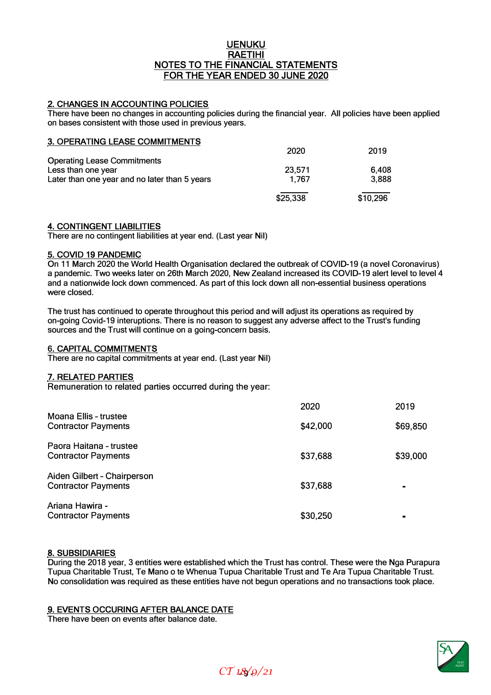# **UENUKU RAETIHI NOTES TO** THE **FINANCIAL STATEMENTS**  FOR THE **YEAR ENDED 30 JUNE 2020**

# **2. CHANGES IN ACCOUNTING POLICIES**

**There have been no changes in accounting policies during the financial year. All policies have been applied on bases consistent with those used in previous years.**

| <b>3. OPERATING LEASE COMMITMENTS</b>         |          |          |
|-----------------------------------------------|----------|----------|
|                                               | 2020     | 2019     |
| <b>Operating Lease Commitments</b>            |          |          |
| Less than one year                            | 23,571   | 6.408    |
| Later than one year and no later than 5 years | 1.767    | 3.888    |
|                                               | \$25,338 | \$10,296 |

#### **4. CONTINGENT LIABILITIES**

**There are no contingent liabilities at year end. (Last year Nil)** 

# **5. COVID 19 PANDEMIC**

**On 11 March 2020 the World Health Organisation declared the outbreak of COVID-19 (a novel Coronavirus) a pandemic. Two weeks later on 26th March 2020, New Zealand increased its COVID-19 alert level to level 4 and a nationwide lock down commenced. As part of this lock down all non-essential business operations were closed.** 

**The trust has continued to operate throughout this period and will adjust its operations as required by on-going Covid-19 interuptions. There is no reason to suggest any adverse affect to the Trust's funding sources and the Trust will continue on a going-concern basis.** 

#### **6. CAPITAL COMMITMENTS**

**There are no capital commitments at year end. (Last year Nil)**

# **7. RELATED PARTIES**

**Remuneration to related parties occurred during the year:** 

|                                                           | 2020     | 2019           |
|-----------------------------------------------------------|----------|----------------|
| Moana Ellis - trustee<br><b>Contractor Payments</b>       | \$42,000 | \$69,850       |
| Paora Haitana - trustee<br><b>Contractor Payments</b>     | \$37,688 | \$39,000       |
| Aiden Gilbert - Chairperson<br><b>Contractor Payments</b> | \$37,688 | $\blacksquare$ |
| Ariana Hawira -<br><b>Contractor Payments</b>             | \$30,250 | ▬              |

# **8. SUBSIDIARIES**

**During the 2018 year, 3 entities were established which the Trust has control. These were the Nga Purapura Tupua Charitable Trust, Te Mano o te Whenua Tupua Charitable Trust and Te Ara Tupua Charitable Trust. No consolidation was required as these entities have not begun operations and no transactions took place.**

#### **9. EVENTS OCCURING AFTER BALANCE DATE**

**There have been on events after balance date.** 

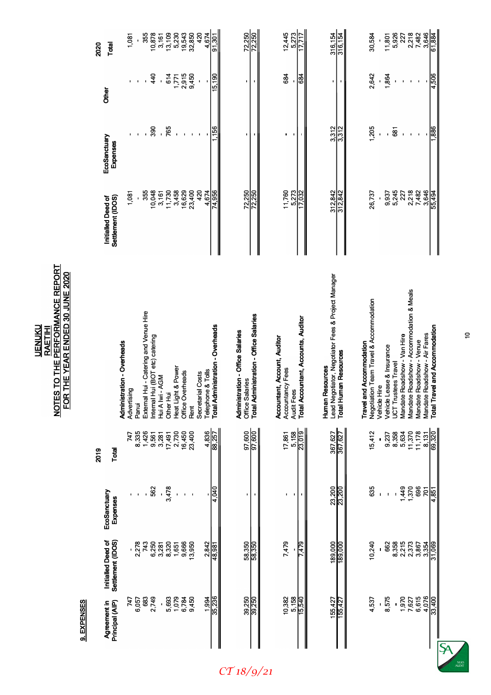| 3,646<br>13,109<br>32,850<br>420<br>72,250<br>72,250<br>$12,445$<br>5,273<br>316,154<br>2,218<br>61,884<br>5,230<br>19,543<br>4,674<br>316,154<br>7,482<br>355<br>30,584<br>5,926<br>227<br>10,878<br>$\frac{91,301}{ }$<br>3,161<br>11,801<br>17.717<br>1,081<br>Total<br>2,915<br>684<br>2,642<br>440<br>614<br>9,450<br>4,506<br>684<br>1,771<br>15,190<br>1,864<br>$\overline{\phantom{a}}$<br>$\mathbf{r}$<br>$\mathbf{I}$<br>$\mathbf{I}$<br>f,<br>$\blacksquare$<br>ı<br>ı<br>Other<br>390<br>- 765<br>3,312<br>1,205<br>886<br>$\frac{156}{56}$<br>3,312<br>681<br>$\mathbf{r}$<br>$\blacksquare$<br>$\blacksquare$<br>ı<br>J.<br>EcoSanctuary<br>Expenses<br>11,760<br>3,458<br>16,629<br>23,400<br>420<br>72,250<br>2,218<br>7,482<br>3,646<br>11,730<br>5,273<br>312,842<br>4,674<br>74,956<br>72,250<br>312,842<br>26,737<br>5,245<br>55,494<br>355<br>10,048<br>$\frac{2}{2}$<br>9,937<br>227<br>3,161<br>1,081<br>Settlement (IDOS)<br>Initialled Deed of<br>Lead Negotiator, Negotiator Fees & Project Manager<br>Mandate Roadshow - Accommodation & Meals<br>Negotiation Team Travel & Accommodation<br>External Hui - Catering and Venue Hire<br>Total Administration - Office Salaries<br>Audit Fees<br>Total Accountant, Accounts, Auditor<br><b>Total Administration - Overheads</b><br>Total Travel and Accommodation<br><b>Administration - Office Salaries</b><br>Mandate Roadshow - Air Fares<br>Mandate Roadshow - Van Hire<br>Hui (BOT etc) catering<br>Accountant, Account, Auditor<br>Mandate Roadshow - Venue<br><b>Administration - Overheads</b><br><b>Travel and Accommodation</b><br>Vehicle Lease & Insurance<br><b>Total Human Resources</b><br><b>UCT Trustees Travel</b><br>Heat Light & Power<br>Accountancy Fees<br>Telephone & Tolls<br>Office Overheads<br>Secretarial Costs |                                                                              |
|-----------------------------------------------------------------------------------------------------------------------------------------------------------------------------------------------------------------------------------------------------------------------------------------------------------------------------------------------------------------------------------------------------------------------------------------------------------------------------------------------------------------------------------------------------------------------------------------------------------------------------------------------------------------------------------------------------------------------------------------------------------------------------------------------------------------------------------------------------------------------------------------------------------------------------------------------------------------------------------------------------------------------------------------------------------------------------------------------------------------------------------------------------------------------------------------------------------------------------------------------------------------------------------------------------------------------------------------------------------------------------------------------------------------------------------------------------------------------------------------------------------------------------------------------------------------------------------------------------------------------------------------------------------------------------------------------------------------------------------------------------------------------------------------------------------------------|------------------------------------------------------------------------------|
|                                                                                                                                                                                                                                                                                                                                                                                                                                                                                                                                                                                                                                                                                                                                                                                                                                                                                                                                                                                                                                                                                                                                                                                                                                                                                                                                                                                                                                                                                                                                                                                                                                                                                                                                                                                                                       | Total<br>EcoSanctuary<br>Expenses<br>Settlement (IDOS)<br>Initialled Deed of |
|                                                                                                                                                                                                                                                                                                                                                                                                                                                                                                                                                                                                                                                                                                                                                                                                                                                                                                                                                                                                                                                                                                                                                                                                                                                                                                                                                                                                                                                                                                                                                                                                                                                                                                                                                                                                                       | Advertising<br>747<br>2,278                                                  |
|                                                                                                                                                                                                                                                                                                                                                                                                                                                                                                                                                                                                                                                                                                                                                                                                                                                                                                                                                                                                                                                                                                                                                                                                                                                                                                                                                                                                                                                                                                                                                                                                                                                                                                                                                                                                                       | Panui<br>8,335<br>1,426<br>$\hat{\mathbf{I}}$<br>743                         |
|                                                                                                                                                                                                                                                                                                                                                                                                                                                                                                                                                                                                                                                                                                                                                                                                                                                                                                                                                                                                                                                                                                                                                                                                                                                                                                                                                                                                                                                                                                                                                                                                                                                                                                                                                                                                                       | nternal<br>562<br>6,250                                                      |
|                                                                                                                                                                                                                                                                                                                                                                                                                                                                                                                                                                                                                                                                                                                                                                                                                                                                                                                                                                                                                                                                                                                                                                                                                                                                                                                                                                                                                                                                                                                                                                                                                                                                                                                                                                                                                       | Hui A Iwi - AGM<br>9,561<br>3,281<br>3,281                                   |
|                                                                                                                                                                                                                                                                                                                                                                                                                                                                                                                                                                                                                                                                                                                                                                                                                                                                                                                                                                                                                                                                                                                                                                                                                                                                                                                                                                                                                                                                                                                                                                                                                                                                                                                                                                                                                       | Other Hui<br>$\frac{17,491}{2,730}$<br>16,450<br>3,478<br>8,320              |
|                                                                                                                                                                                                                                                                                                                                                                                                                                                                                                                                                                                                                                                                                                                                                                                                                                                                                                                                                                                                                                                                                                                                                                                                                                                                                                                                                                                                                                                                                                                                                                                                                                                                                                                                                                                                                       | $\mathbf{I}$<br>1,651<br>9,666                                               |
|                                                                                                                                                                                                                                                                                                                                                                                                                                                                                                                                                                                                                                                                                                                                                                                                                                                                                                                                                                                                                                                                                                                                                                                                                                                                                                                                                                                                                                                                                                                                                                                                                                                                                                                                                                                                                       | $\blacksquare$                                                               |
|                                                                                                                                                                                                                                                                                                                                                                                                                                                                                                                                                                                                                                                                                                                                                                                                                                                                                                                                                                                                                                                                                                                                                                                                                                                                                                                                                                                                                                                                                                                                                                                                                                                                                                                                                                                                                       | Rent<br>23,400<br>$\mathbf{r}$<br>13,950                                     |
|                                                                                                                                                                                                                                                                                                                                                                                                                                                                                                                                                                                                                                                                                                                                                                                                                                                                                                                                                                                                                                                                                                                                                                                                                                                                                                                                                                                                                                                                                                                                                                                                                                                                                                                                                                                                                       |                                                                              |
|                                                                                                                                                                                                                                                                                                                                                                                                                                                                                                                                                                                                                                                                                                                                                                                                                                                                                                                                                                                                                                                                                                                                                                                                                                                                                                                                                                                                                                                                                                                                                                                                                                                                                                                                                                                                                       | $\frac{4,836}{88,257}$<br><u>diorb</u><br>$\frac{2,842}{48,981}$             |
|                                                                                                                                                                                                                                                                                                                                                                                                                                                                                                                                                                                                                                                                                                                                                                                                                                                                                                                                                                                                                                                                                                                                                                                                                                                                                                                                                                                                                                                                                                                                                                                                                                                                                                                                                                                                                       | Office Salaries<br>97,600<br>ı.<br>58,350                                    |
|                                                                                                                                                                                                                                                                                                                                                                                                                                                                                                                                                                                                                                                                                                                                                                                                                                                                                                                                                                                                                                                                                                                                                                                                                                                                                                                                                                                                                                                                                                                                                                                                                                                                                                                                                                                                                       | 97,600<br>58,350                                                             |
|                                                                                                                                                                                                                                                                                                                                                                                                                                                                                                                                                                                                                                                                                                                                                                                                                                                                                                                                                                                                                                                                                                                                                                                                                                                                                                                                                                                                                                                                                                                                                                                                                                                                                                                                                                                                                       | 17,861<br>J,<br>7,479                                                        |
|                                                                                                                                                                                                                                                                                                                                                                                                                                                                                                                                                                                                                                                                                                                                                                                                                                                                                                                                                                                                                                                                                                                                                                                                                                                                                                                                                                                                                                                                                                                                                                                                                                                                                                                                                                                                                       | $\blacksquare$                                                               |
|                                                                                                                                                                                                                                                                                                                                                                                                                                                                                                                                                                                                                                                                                                                                                                                                                                                                                                                                                                                                                                                                                                                                                                                                                                                                                                                                                                                                                                                                                                                                                                                                                                                                                                                                                                                                                       | 5,158<br>23,019<br>7,479                                                     |
|                                                                                                                                                                                                                                                                                                                                                                                                                                                                                                                                                                                                                                                                                                                                                                                                                                                                                                                                                                                                                                                                                                                                                                                                                                                                                                                                                                                                                                                                                                                                                                                                                                                                                                                                                                                                                       | <b>Human Resources</b><br>367,627<br>23,200<br>189,000                       |
|                                                                                                                                                                                                                                                                                                                                                                                                                                                                                                                                                                                                                                                                                                                                                                                                                                                                                                                                                                                                                                                                                                                                                                                                                                                                                                                                                                                                                                                                                                                                                                                                                                                                                                                                                                                                                       | 367,627<br>23,200<br>189,000                                                 |
|                                                                                                                                                                                                                                                                                                                                                                                                                                                                                                                                                                                                                                                                                                                                                                                                                                                                                                                                                                                                                                                                                                                                                                                                                                                                                                                                                                                                                                                                                                                                                                                                                                                                                                                                                                                                                       | 15,412<br>635<br>10,240                                                      |
|                                                                                                                                                                                                                                                                                                                                                                                                                                                                                                                                                                                                                                                                                                                                                                                                                                                                                                                                                                                                                                                                                                                                                                                                                                                                                                                                                                                                                                                                                                                                                                                                                                                                                                                                                                                                                       | Vehicle Hire                                                                 |
|                                                                                                                                                                                                                                                                                                                                                                                                                                                                                                                                                                                                                                                                                                                                                                                                                                                                                                                                                                                                                                                                                                                                                                                                                                                                                                                                                                                                                                                                                                                                                                                                                                                                                                                                                                                                                       | $\mathbf{I}$<br>662                                                          |
|                                                                                                                                                                                                                                                                                                                                                                                                                                                                                                                                                                                                                                                                                                                                                                                                                                                                                                                                                                                                                                                                                                                                                                                                                                                                                                                                                                                                                                                                                                                                                                                                                                                                                                                                                                                                                       | 9,237<br>8,358<br>$\hat{\mathbf{I}}$<br>8,358                                |
|                                                                                                                                                                                                                                                                                                                                                                                                                                                                                                                                                                                                                                                                                                                                                                                                                                                                                                                                                                                                                                                                                                                                                                                                                                                                                                                                                                                                                                                                                                                                                                                                                                                                                                                                                                                                                       | 5,634<br>1,370                                                               |
|                                                                                                                                                                                                                                                                                                                                                                                                                                                                                                                                                                                                                                                                                                                                                                                                                                                                                                                                                                                                                                                                                                                                                                                                                                                                                                                                                                                                                                                                                                                                                                                                                                                                                                                                                                                                                       | 11,370<br>2,215<br>2,373                                                     |
|                                                                                                                                                                                                                                                                                                                                                                                                                                                                                                                                                                                                                                                                                                                                                                                                                                                                                                                                                                                                                                                                                                                                                                                                                                                                                                                                                                                                                                                                                                                                                                                                                                                                                                                                                                                                                       | 11,178<br>696<br>$\overline{201}$<br>3,867<br>3,354                          |
|                                                                                                                                                                                                                                                                                                                                                                                                                                                                                                                                                                                                                                                                                                                                                                                                                                                                                                                                                                                                                                                                                                                                                                                                                                                                                                                                                                                                                                                                                                                                                                                                                                                                                                                                                                                                                       | $\frac{8,131}{69,320}$<br>4.851<br>31,069                                    |



*CT 18/9/21*

 $\overline{a}$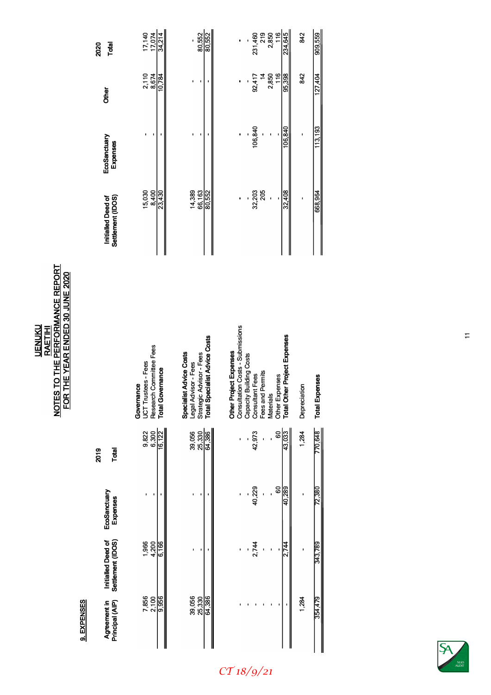**UENUKU RAETIHI NOTES TO THE PERFORMANCE REPORT FOR THE YEAR ENDED 30 JUNE 2020** 

> **Q FXPFNSFS 9.EXPENSES**

| 2020        | Total                                   | $\frac{17,140}{17,074}$                                                          | 80,552<br>80,552                                                                                             | 116<br>219<br>2,850<br>234,645<br>231,460                                                                                                                                                                         | 909,559<br>842                        |
|-------------|-----------------------------------------|----------------------------------------------------------------------------------|--------------------------------------------------------------------------------------------------------------|-------------------------------------------------------------------------------------------------------------------------------------------------------------------------------------------------------------------|---------------------------------------|
|             | Other                                   | 2,110<br>8,674<br>$\frac{10,784}{ }$                                             |                                                                                                              | 95,398<br>2,850<br>116<br>$\frac{4}{5}$<br>92,417                                                                                                                                                                 | 842<br>127,404                        |
|             | EcoSanctuary<br>Expenses                |                                                                                  |                                                                                                              | 106,840<br>106,840                                                                                                                                                                                                | 113,193                               |
|             | Settlement (IDOS)<br>Initialled Deed of | 8,400<br>15,030<br>23,430                                                        | 14,389<br>66,163<br>80,552                                                                                   | 32,203<br>32,408<br>205<br>$\overline{\phantom{a}}$                                                                                                                                                               | 668,964                               |
|             |                                         | Research Committee Fees<br>Total Governance<br>UCT Trustees - Fees<br>Governance | Legal Advisor - Fees<br>Strategic Advisor - Fees<br>Total Specialist Advice Costs<br>Specialist Advice Costs | <b>Other Project Expenses</b><br>Consultation Costs - Submissions<br>Other Expenses<br>T <b>otal Other Project Expenses</b><br>Capacity Building Costs<br>Consultant Fees<br>Fees and Permits<br><b>Materials</b> | <b>Total Expenses</b><br>Depreciation |
| 2019        | Total                                   | 9,822<br>$\frac{6,300}{16,122}$                                                  | 39,056<br>64,386<br>25,330                                                                                   | 60<br>43,033<br>42,973<br>ï                                                                                                                                                                                       | 770,648<br>1,284                      |
|             | EcoSanctuary<br>Expenses                |                                                                                  | ı                                                                                                            | 60<br>40,229<br>40,289                                                                                                                                                                                            | 72,380                                |
|             | Initialled Deed of<br>Settlement (IDOS) | $1,966$<br>$4,700$<br>$6,166$                                                    |                                                                                                              | 2,744<br>2,744                                                                                                                                                                                                    | 343,789                               |
| 3. EAFENSES | Agreement in<br>Principal (AIP)         | 7,856<br>2,100<br>9,956                                                          | 39,056<br>25,330<br>64,386                                                                                   |                                                                                                                                                                                                                   | 354,479<br>1,284                      |

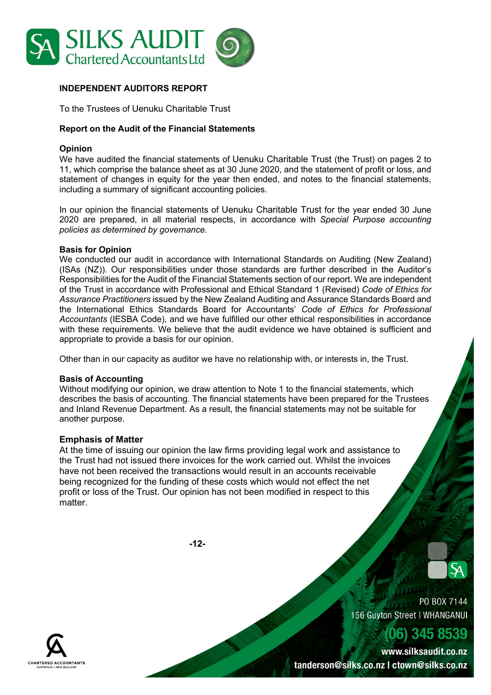

# INDEPENDENT AUDITORS REPORT

To the Trustees of Uenuku Charitable Trust

# Report on the Audit of the Financial Statements

# Opinion

We have audited the financial statements of Uenuku Charitable Trust (the Trust) on pages 2 to 11, which comprise the balance sheet as at 30 June 2020, and the statement of profit or loss, and statement of changes in equity for the year then ended, and notes to the financial statements, including a summary of significant accounting policies.

In our opinion the financial statements of Uenuku Charitable Trust for the year ended 30 June 2020 are prepared, in all material respects, in accordance with Special Purpose accounting policies as determined by governance.

#### Basis for Opinion

We conducted our audit in accordance with International Standards on Auditing (New Zealand) (ISAs (NZ)). Our responsibilities under those standards are further described in the Auditor's Responsibilities for the Audit of the Financial Statements section of our report. We are independent of the Trust in accordance with Professional and Ethical Standard 1 (Revised) Code of Ethics for Assurance Practitioners issued by the New Zealand Auditing and Assurance Standards Board and the International Ethics Standards Board for Accountants' Code of Ethics for Professional Accountants (IESBA Code), and we have fulfilled our other ethical responsibilities in accordance with these requirements. We believe that the audit evidence we have obtained is sufficient and appropriate to provide a basis for our opinion.

Other than in our capacity as auditor we have no relationship with, or interests in, the Trust.

# Basis of Accounting

Without modifying our opinion, we draw attention to Note 1 to the financial statements, which describes the basis of accounting. The financial statements have been prepared for the Trustees and Inland Revenue Department. As a result, the financial statements may not be suitable for another purpose.

# Emphasis of Matter

At the time of issuing our opinion the law firms providing legal work and assistance to the Trust had not issued there invoices for the work carried out. Whilst the invoices have not been received the transactions would result in an accounts receivable being recognized for the funding of these costs which would not effect the net profit or loss of the Trust. Our opinion has not been modified in respect to this matter.

-12-



PO BOX 7144 156 Guyton Street | WHANGANUI

www.silksaudit.co.nz tanderson@silks.co.nz | ctown@silks.co.nz